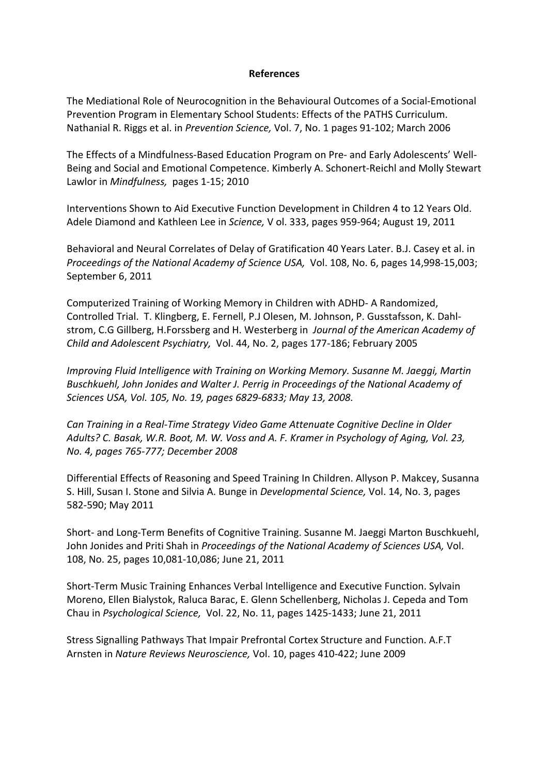## **References**

The Mediational Role of Neurocognition in the Behavioural Outcomes of a Social-Emotional Prevention Program in Elementary School Students: Effects of the PATHS Curriculum. Nathanial R. Riggs et al. in *Prevention Science,* Vol. 7, No. 1 pages 91-102; March 2006

The Effects of a Mindfulness-Based Education Program on Pre- and Early Adolescents' Well-Being and Social and Emotional Competence. Kimberly A. Schonert-Reichl and Molly Stewart Lawlor in *Mindfulness,* pages 1-15; 2010

Interventions Shown to Aid Executive Function Development in Children 4 to 12 Years Old. Adele Diamond and Kathleen Lee in *Science,* V ol. 333, pages 959-964; August 19, 2011

Behavioral and Neural Correlates of Delay of Gratification 40 Years Later. B.J. Casey et al. in *Proceedings of the National Academy of Science USA,* Vol. 108, No. 6, pages 14,998-15,003; September 6, 2011

Computerized Training of Working Memory in Children with ADHD- A Randomized, Controlled Trial. T. Klingberg, E. Fernell, P.J Olesen, M. Johnson, P. Gusstafsson, K. Dahlstrom, C.G Gillberg, H.Forssberg and H. Westerberg in *Journal of the American Academy of Child and Adolescent Psychiatry,* Vol. 44, No. 2, pages 177-186; February 2005

*Improving Fluid Intelligence with Training on Working Memory. Susanne M. Jaeggi, Martin Buschkuehl, John Jonides and Walter J. Perrig in Proceedings of the National Academy of Sciences USA, Vol. 105, No. 19, pages 6829-6833; May 13, 2008.*

*Can Training in a Real-Time Strategy Video Game Attenuate Cognitive Decline in Older Adults? C. Basak, W.R. Boot, M. W. Voss and A. F. Kramer in Psychology of Aging, Vol. 23, No. 4, pages 765-777; December 2008*

Differential Effects of Reasoning and Speed Training In Children. Allyson P. Makcey, Susanna S. Hill, Susan I. Stone and Silvia A. Bunge in *Developmental Science,* Vol. 14, No. 3, pages 582-590; May 2011

Short- and Long-Term Benefits of Cognitive Training. Susanne M. Jaeggi Marton Buschkuehl, John Jonides and Priti Shah in *Proceedings of the National Academy of Sciences USA,* Vol. 108, No. 25, pages 10,081-10,086; June 21, 2011

Short-Term Music Training Enhances Verbal Intelligence and Executive Function. Sylvain Moreno, Ellen Bialystok, Raluca Barac, E. Glenn Schellenberg, Nicholas J. Cepeda and Tom Chau in *Psychological Science,* Vol. 22, No. 11, pages 1425-1433; June 21, 2011

Stress Signalling Pathways That Impair Prefrontal Cortex Structure and Function. A.F.T Arnsten in *Nature Reviews Neuroscience,* Vol. 10, pages 410-422; June 2009